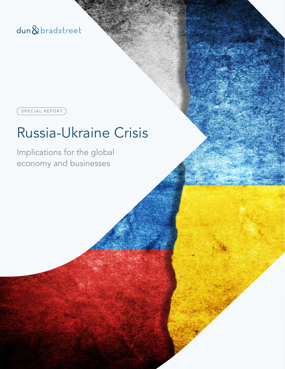dun&bradstreet

SPECIAL REPORT

# Russia-Ukraine Crisis

Implications for the global economy and businesses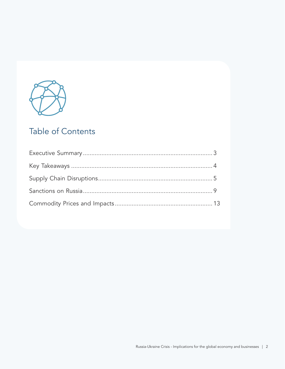

# Table of Contents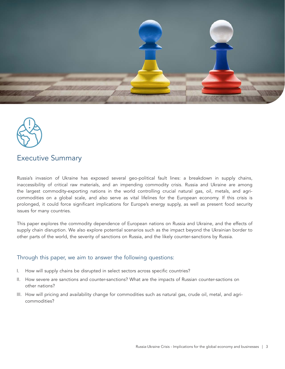



## Executive Summary

Russia's invasion of Ukraine has exposed several geo-political fault lines: a breakdown in supply chains, inaccessibility of critical raw materials, and an impending commodity crisis. Russia and Ukraine are among the largest commodity-exporting nations in the world controlling crucial natural gas, oil, metals, and agricommodities on a global scale, and also serve as vital lifelines for the European economy. If this crisis is prolonged, it could force significant implications for Europe's energy supply, as well as present food security issues for many countries.

This paper explores the commodity dependence of European nations on Russia and Ukraine, and the effects of supply chain disruption. We also explore potential scenarios such as the impact beyond the Ukrainian border to other parts of the world, the severity of sanctions on Russia, and the likely counter-sanctions by Russia.

#### Through this paper, we aim to answer the following questions:

- I. How will supply chains be disrupted in select sectors across specific countries?
- II. How severe are sanctions and counter-sanctions? What are the impacts of Russian counter-sactions on other nations?
- III. How will pricing and availability change for commodities such as natural gas, crude oil, metal, and agricommodities?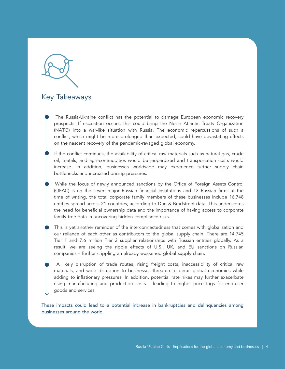# Key Takeaways

• The Russia-Ukraine conflict has the potential to damage European economic recovery prospects. If escalation occurs, this could bring the North Atlantic Treaty Organization (NATO) into a war-like situation with Russia. The economic repercussions of such a conflict, which might be more prolonged than expected, could have devastating effects on the nascent recovery of the pandemic-ravaged global economy.

If the conflict continues, the availability of critical raw materials such as natural gas, crude oil, metals, and agri-commodities would be jeopardized and transportation costs would increase. In addition, businesses worldwide may experience further supply chain bottlenecks and increased pricing pressures.

• While the focus of newly announced sanctions by the Office of Foreign Assets Control (OFAC) is on the seven major Russian financial institutions and 13 Russian firms at the time of writing, the total corporate family members of these businesses include 16,748 entities spread across 21 countries, according to Dun & Bradstreet data. This underscores the need for beneficial ownership data and the importance of having access to corporate family tree data in uncovering hidden compliance risks.

This is yet another reminder of the interconnectedness that comes with globalization and our reliance of each other as contributors to the global supply chain. There are 14,745 Tier 1 and 7.6 million Tier 2 supplier relationships with Russian entities globally. As a result, we are seeing the ripple effects of U.S., UK, and EU sanctions on Russian companies – further crippling an already weakened global supply chain.

• A likely disruption of trade routes, rising freight costs, inaccessibility of critical raw materials, and wide disruption to businesses threaten to derail global economies while adding to inflationary pressures. In addition, potential rate hikes may further exacerbate rising manufacturing and production costs – leading to higher price tags for end-user goods and services.

These impacts could lead to a potential increase in bankruptcies and delinquencies among businesses around the world.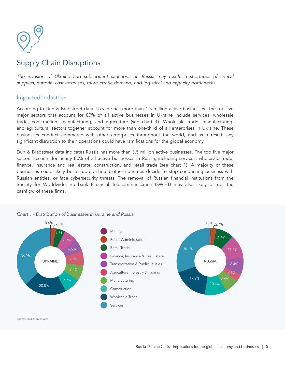

# Supply Chain Disruptions

*The invasion of Ukraine and subsequent sanctions on Russia may result in shortages of critical supplies, material cost increases, more erratic demand, and logistical and capacity bottlenecks.*

#### Impacted Industries

According to Dun & Bradstreet data, Ukraine has more than 1.5 million active businesses. The top five major sectors that account for 80% of all active businesses in Ukraine include services, wholesale trade, construction, manufacturing, and agriculture (see chart 1). Wholesale trade, manufacturing, and agricultural sectors together account for more than one-third of all enterprises in Ukraine. These businesses conduct commerce with other enterprises throughout the world, and as a result, any significant disruption to their operations could have ramifications for the global economy.

Dun & Bradstreet data indicates Russia has more than 3.5 million active businesses. The top five major sectors account for nearly 80% of all active businesses in Russia, including services, wholesale trade, finance, insurance and real estate, construction, and retail trade (see chart 1). A majority of these businesses could likely be disrupted should other countries decide to stop conducting business with Russian entities, or face cybersecurity threats. The removal of Russian financial institutions from the Society for Worldwide Interbank Financial Telecommunication (SWIFT) may also likely disrupt the cashflow of these firms.

#### Mining Public Administration Retail Trade Finance, Insurance & Real Estate UKRAINE POWER PRUSSIA Agriculture, Forestry & Fishing 17.2% Construction Wholesale Trade Services 36.9% 30.1% 20.8% 10.7% 7.5% 6.9% 6.9% 3.6%  $6.5%$ 8.4% 6.3% 11.5%  $4.59$ 8.5%  $0.4\%$  2.5%  $0.5\%$  2.7%

#### *Chart 1 - Distribution of businesses in Ukraine and Russia*

*Source: Dun & Bradstreet*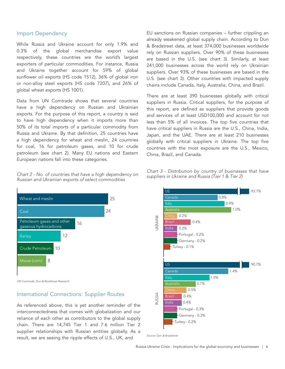#### Import Dependency

While Russia and Ukraine account for only 1.9% and 0.3% of the global merchandise export value respectively, these countries are the world's largest exporters of particular commodities. For instance, Russia and Ukraine together account for 59% of global sunflower oil exports (HS code 1512), 36% of global iron or non-alloy steel exports (HS code 7207), and 26% of global wheat exports (HS 1001).

Data from UN Comtrade shows that several countries have a high dependency on Russian and Ukrainian exports. For the purpose of this report, a country is said to have high dependency when it imports more than 50% of its total imports of a particular commodity from Russia and Ukraine. By that definition, 25 countries have a high dependency for wheat and meslin, 24 countries for coal, 16 for petroleum gases, and 10 for crude petroleum (see chart 2). Many EU nations and Eastern European nations fall into these categories.

*Chart 2 - No. of countries that have a high dependency on Russian and Ukrainian exports of select commodities* 



*UN Comtrade, Dun & Bradstreet Research*

#### International Connections: Supplier Routes

As referenced above, this is yet another reminder of the interconnectedness that comes with globalization and our reliance of each other as contributors to the global supply chain. There are 14,745 Tier 1 and 7.6 million Tier 2 supplier relationships with Russian entities globally. As a result, we are seeing the ripple effects of U.S., UK, and *Source: Dun & Bradstreet*

EU sanctions on Russian companies – further crippling an already weakened global supply chain. According to Dun & Bradstreet data, at least 374,000 businesses worldwide rely on Russian suppliers. Over 90% of these businesses are based in the U.S. (see chart 3). Similarly, at least 241,000 businesses across the world rely on Ukrainian suppliers. Over 93% of these businesses are based in the U.S. (see chart 3). Other countries with impacted supply chains include Canada, Italy, Australia, China, and Brazil.

There are at least 390 businesses globally with critical suppliers in Russia. Critical suppliers, for the purpose of this report, are defined as suppliers that provide goods and services of at least USD100,000 and account for not less than 5% of all invoices. The top five countries that have critical suppliers in Russia are the U.S., China, India, Japan, and the UAE. There are at least 210 businesses globally with critical suppliers in Ukraine. The top five countries with the most exposure are the U.S., Mexico, China, Brazil, and Canada.



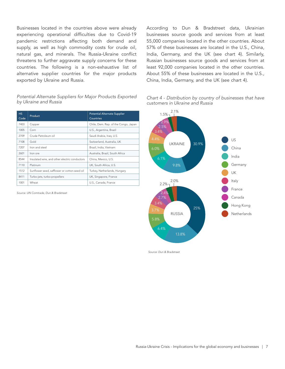Businesses located in the countries above were already experiencing operational difficulties due to Covid-19 pandemic restrictions affecting both demand and supply, as well as high commodity costs for crude oil, natural gas, and minerals. The Russia-Ukraine conflict threatens to further aggravate supply concerns for these countries. The following is a non-exhaustive list of alternative supplier countries for the major products exported by Ukraine and Russia.

#### *Potential Alternate Suppliers for Major Products Exported by Ukraine and Russia*

| HS<br>Code | Product                                       | <b>Potential Alternate Supplier</b><br>Countries |  |
|------------|-----------------------------------------------|--------------------------------------------------|--|
| 7403       | Copper                                        | Chile, Dem. Rep. of the Congo, Japan             |  |
| 1005       | Corn                                          | U.S., Argentina, Brazil                          |  |
| 2709       | Crude Petroleum oil                           | Saudi Arabia, Iraq, U.S.                         |  |
| 7108       | Gold                                          | Switzerland, Australia, UK                       |  |
| 7207       | Iron and steel                                | Brazil, India, Vietnam                           |  |
| 2601       | Iron ore                                      | Australia, Brazil, South Africa                  |  |
| 8544       | Insulated wire, and other electric conductors | China, Mexico, U.S.                              |  |
| 7110       | Platinum                                      | UK, South Africa, U.S.                           |  |
| 1512       | Sunflower seed, safflower or cotton-seed oil  | Turkey, Netherlands, Hungary                     |  |
| 8411       | Turbo-jets, turbo-propellers                  | UK, Singapore, France                            |  |
| 1001       | Wheat                                         | U.S., Canada, France                             |  |

*Source: UN Comtrade, Dun & Bradstreet*

According to Dun & Bradstreet data, Ukrainian businesses source goods and services from at least 55,000 companies located in the other countries. About 57% of these businesses are located in the U.S., China, India, Germany, and the UK (see chart 4). Similarly, Russian businesses source goods and services from at least 92,000 companies located in the other countries. About 55% of these businesses are located in the U.S., China, India, Germany, and the UK (see chart 4).





*Source: Dun & Bradstreet*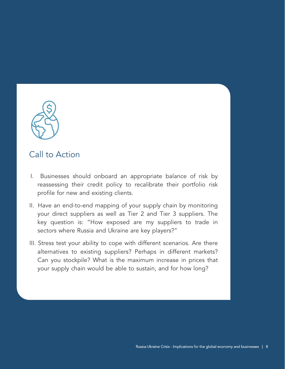

# Call to Action

- I. Businesses should onboard an appropriate balance of risk by reassessing their credit policy to recalibrate their portfolio risk profile for new and existing clients.
- II. Have an end-to-end mapping of your supply chain by monitoring your direct suppliers as well as Tier 2 and Tier 3 suppliers. The key question is: "How exposed are my suppliers to trade in sectors where Russia and Ukraine are key players?"
- III. Stress test your ability to cope with different scenarios. Are there alternatives to existing suppliers? Perhaps in different markets? Can you stockpile? What is the maximum increase in prices that your supply chain would be able to sustain, and for how long?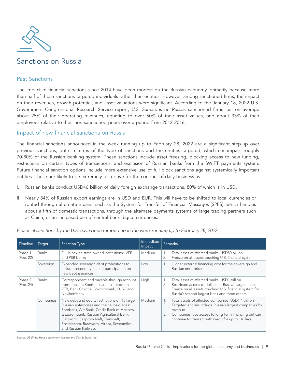

### Past Sanctions

The impact of financial sanctions since 2014 have been modest on the Russian economy, primarily because more than half of those sanctions targeted individuals rather than entities. However, among sanctioned firms, the impact on their revenues, growth potential, and asset valuations were significant. According to the January 18, 2022 U.S. Government Congressional Research Service report, *U.S. Sanctions on Russia*, sanctioned firms lost on average about 25% of their operating revenues, equating to over 50% of their asset values, and about 33% of their employees relative to their non-sanctioned peers over a period from 2012-2016.

#### Impact of new financial sanctions on Russia

The financial sanctions announced in the week running up to February 28, 2022 are a significant step-up over previous sanctions, both in terms of the type of sanctions and the entities targeted, which encompass roughly 70-80% of the Russian banking system. These sanctions include asset freezing, blocking access to new funding, restrictions on certain types of transactions, and exclusion of Russian banks from the SWIFT payments system. Future financial sanction options include more extensive use of full block sanctions against systemically important entities. These are likely to be extremely disruptive for the conduct of daily business as:

- I. Russian banks conduct USD46 billion of daily foreign exchange transactions, 80% of which is in USD.
- II. Nearly 84% of Russian export earnings are in USD and EUR. This will have to be shifted to local currencies or routed through alternate means, such as the System for Transfer of Financial Messages (SPFS), which handles about a fifth of domestic transactions, through the alternate payments systems of large trading partners such as China, or an increased use of central bank digital currencies.

| Timeline             | Target       | <b>Sanction Type</b>                                                                                                                                                                                                                                                                           | Immediate<br><b>Impact</b> |                            | <b>Remarks</b>                                                                                                                                                                                                                          |
|----------------------|--------------|------------------------------------------------------------------------------------------------------------------------------------------------------------------------------------------------------------------------------------------------------------------------------------------------|----------------------------|----------------------------|-----------------------------------------------------------------------------------------------------------------------------------------------------------------------------------------------------------------------------------------|
| Phase 1<br>(Feb. 22) | Banks        | Full block on state owned institutions: VEB<br>and PSB banks                                                                                                                                                                                                                                   | Medium                     | 1.<br>2.                   | Total asset of affected banks: USD80 billion<br>Freeze on all assets touching U.S. financial system                                                                                                                                     |
|                      | Sovereign    | Expanded sovereign debt prohibitions to<br>include secondary market participation on<br>new debt issuances                                                                                                                                                                                     | Low                        | 1.                         | Higher external financing cost for the sovereign and<br>Russian enterprises                                                                                                                                                             |
| Phase 2<br>(Feb. 24) | <b>Banks</b> | Correspondent and payable through account<br>transitions on Sberbank and full block on<br>VTB, Bank Otkritie, Sovcombank, OJSC and<br>Novikombank                                                                                                                                              | High                       | $\mathbf{1}$ .<br>2.<br>3. | Total asset of affected banks: USD1 trillion<br>Restricted access to dollars for Russia's largest bank<br>Freeze on all assets touching U.S. financial system for<br>Russia's second largest bank and three others                      |
|                      | Companies    | New debt and equity restrictions on 13 large<br>Russian enterprises and their subsidiaries:<br>Sberbank, AlfaBank, Credit Bank of Moscow,<br>Gazprombank, Russian Agricultural Bank,<br>Gazprom, Gazprom Neft, Transneft,<br>Rostelecom, RusHydro, Alrosa, Sovcomflot,<br>and Russian Railways | <b>Medium</b>              | 1.<br>2.<br>3.             | Total assets of affected companies: USD1.4 trillion<br>Targeted entities include Russia's largest companies by<br>revenue<br>Companies lose access to long-term financing but can<br>continue to transact with credit for up to 14 days |

*Financial sanctions by the U.S. have been ramped up in the week running up to February 28, 2022*

*Source: US White House statement release and Dun & Bradstreet*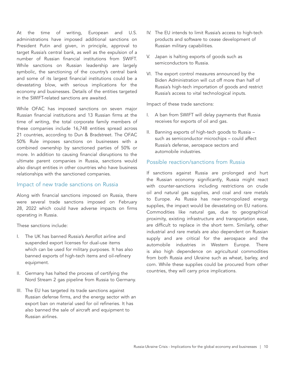At the time of writing, European and U.S. administrations have imposed additional sanctions on President Putin and given, in principle, approval to target Russia's central bank, as well as the expulsion of a number of Russian financial institutions from SWIFT. While sanctions on Russian leadership are largely symbolic, the sanctioning of the country's central bank and some of its largest financial institutions could be a devastating blow, with serious implications for the economy and businesses. Details of the entities targeted in the SWIFT-related sanctions are awaited.

While OFAC has imposed sanctions on seven major Russian financial institutions and 13 Russian firms at the time of writing, the total corporate family members of these companies include 16,748 entities spread across 21 countries, according to Dun & Bradstreet. The OFAC 50% Rule imposes sanctions on businesses with a combined ownership by sanctioned parties of 50% or more. In addition to causing financial disruptions to the ultimate parent companies in Russia, sanctions would also disrupt entities in other countries who have business relationships with the sanctioned companies.

### Impact of new trade sanctions on Russia

Along with financial sanctions imposed on Russia, there were several trade sanctions imposed on February 28, 2022 which could have adverse impacts on firms operating in Russia.

These sanctions include:

- I. The UK has banned Russia's Aeroflot airline and suspended export licenses for dual-use items which can be used for military purposes. It has also banned exports of high-tech items and oil-refinery equipment.
- II. Germany has halted the process of certifying the Nord Stream 2 gas pipeline from Russia to Germany.
- III. The EU has targeted its trade sanctions against Russian defense firms, and the energy sector with an export ban on material used for oil refineries. It has also banned the sale of aircraft and equipment to Russian airlines.
- IV. The EU intends to limit Russia's access to high-tech products and software to cease development of Russian military capabilities.
- V. Japan is halting exports of goods such as semiconductors to Russia.
- VI. The export control measures announced by the Biden Administration will cut off more than half of Russia's high-tech importation of goods and restrict Russia's access to vital technological inputs.

Impact of these trade sanctions:

- I. A ban from SWIFT will delay payments that Russia receives for exports of oil and gas.
- II. Banning exports of high-tech goods to Russia such as semiconductor microchips – could affect Russia's defense, aerospace sectors and automobile industries.

#### Possible reaction/sanctions from Russia

If sanctions against Russia are prolonged and hurt the Russian economy significantly, Russia might react with counter-sanctions including restrictions on crude oil and natural gas supplies, and coal and rare metals to Europe. As Russia has near-monopolized energy supplies, the impact would be devastating on EU nations. Commodities like natural gas, due to geographical proximity, existing infrastructure and transportation ease, are difficult to replace in the short term. Similarly, other industrial and rare metals are also dependent on Russian supply and are critical for the aerospace and the automobile industries in Western Europe. There is also high dependence on agricultural commodities from both Russia and Ukraine such as wheat, barley, and corn. While these supplies could be procured from other countries, they will carry price implications.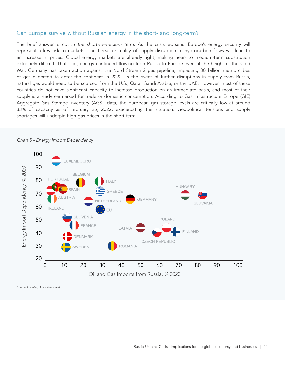#### Can Europe survive without Russian energy in the short- and long-term?

The brief answer is *not in the short-to-medium term*. As the crisis worsens, Europe's energy security will represent a key risk to markets. The threat or reality of supply disruption to hydrocarbon flows will lead to an increase in prices. Global energy markets are already tight, making near- to medium-term substitution extremely difficult. That said, energy continued flowing from Russia to Europe even at the height of the Cold War. Germany has taken action against the Nord Stream 2 gas pipeline, impacting 30 billion metric cubes of gas expected to enter the continent in 2022. In the event of further disruptions in supply from Russia, natural gas would need to be sourced from the U.S., Qatar, Saudi Arabia, or the UAE. However, most of these countries do not have significant capacity to increase production on an immediate basis, and most of their supply is already earmarked for trade or domestic consumption. According to Gas Infrastructure Europe (GIE) Aggregate Gas Storage Inventory (AGSI) data, the European gas storage levels are critically low at around 33% of capacity as of February 25, 2022, exacerbating the situation. Geopolitical tensions and supply shortages will underpin high gas prices in the short term.



*Chart 5 - Energy Import Dependency* 

*Source: Eurostat, Dun & Bradstreet*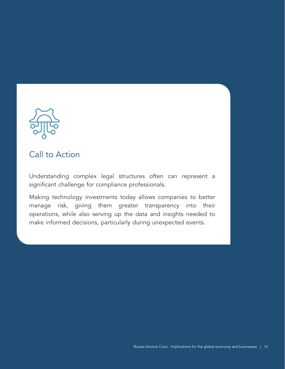

# Call to Action

Understanding complex legal structures often can represent a significant challenge for compliance professionals.

Making technology investments today allows companies to better manage risk, giving them greater transparency into their operations, while also serving up the data and insights needed to make informed decisions, particularly during unexpected events.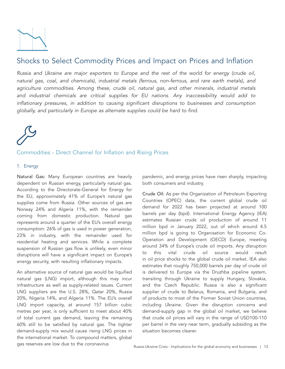

## Shocks to Select Commodity Prices and Impact on Prices and Inflation

*Russia and Ukraine are major exporters to Europe and the rest of the world for energy (crude oil, natural gas, coal, and chemicals), industrial metals (ferrous, non-ferrous, and rare earth metals), and agriculture commodities. Among these, crude oil, natural gas, and other minerals, industrial metals and industrial chemicals are critical supplies for EU nations. Any inaccessibility would add to inflationary pressures, in addition to causing significant disruptions to businesses and consumption globally, and particularly in Europe as alternate supplies could be hard to find.*



#### Commodities - Direct Channel for Inflation and Rising Prices

#### 1. Energy

Natural Gas: Many European countries are heavily dependent on Russian energy, particularly natural gas. According to the Directorate-General for Energy for the EU, approximately 41% of Europe's natural gas supplies come from Russia. Other sources of gas are Norway 24% and Algeria 11%, with the remainder coming from domestic production. Natural gas represents around a quarter of the EU's overall energy consumption: 26% of gas is used in power generation, 23% in industry, with the remainder used for residential heating and services. While a complete suspension of Russian gas flow is unlikely, even minor disruptions will have a significant impact on Europe's energy security, with resulting inflationary impacts.

An alternative source of natural gas would be liquified natural gas (LNG) import, although this may incur infrastructure as well as supply-related issues. Current LNG suppliers are the U.S. 28%, Qatar 20%, Russia 20%, Nigeria 14%, and Algeria 11%. The EU's overall LNG import capacity, at around 157 billion cubic metres per year, is only sufficient to meet about 40% of total current gas demand, leaving the remaining 60% still to be satisfied by natural gas. The tighter demand-supply mix would cause rising LNG prices in the international market. To compound matters, global gas reserves are low due to the coronavirus

pandemic, and energy prices have risen sharply, impacting both consumers and industry.

Crude Oil: As per the Organization of Petroleum Exporting Countries (OPEC) data, the current global crude oil demand for 2022 has been projected at around 100 barrels per day (bpd). International Energy Agency (IEA) estimates Russian crude oil production of around 11 million bpd in January 2022, out of which around 4.5 million bpd is going to Organisation for Economic Co-Operation and Development (OECD) Europe, meeting around 34% of Europe's crude oil imports. Any disruption to this vital crude oil source would result in oil price shocks to the global crude oil market. IEA also estimates that roughly 750,000 barrels per day of crude oil is delivered to Europe via the Druzhba pipeline system, transiting through Ukraine to supply Hungary, Slovakia, and the Czech Republic. Russia is also a significant supplier of crude to Belarus, Romania, and Bulgaria, and of products to most of the Former Soviet Union countries, including Ukraine. Given the disruption concerns and demand-supply gap in the global oil market, we believe that crude oil prices will vary in the range of USD100-110 per barrel in the very near term, gradually subsiding as the situation becomes clearer.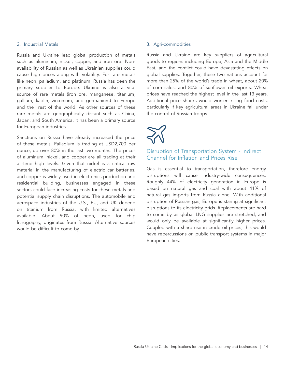#### 2. Industrial Metals

Russia and Ukraine lead global production of metals such as aluminum, nickel, copper, and iron ore. Nonavailability of Russian as well as Ukrainian supplies could cause high prices along with volatility. For rare metals like neon, palladium, and platinum, Russia has been the primary supplier to Europe. Ukraine is also a vital source of rare metals (iron ore, manganese, titanium, gallium, kaolin, zirconium, and germanium) to Europe and the rest of the world. As other sources of these rare metals are geographically distant such as China, Japan, and South America, it has been a primary source for European industries.

Sanctions on Russia have already increased the price of these metals. Palladium is trading at USD2,700 per ounce, up over 80% in the last two months. The prices of aluminum, nickel, and copper are all trading at their all-time high levels. Given that nickel is a critical raw material in the manufacturing of electric car batteries, and copper is widely used in electronics production and residential building, businesses engaged in these sectors could face increasing costs for these metals and potential supply chain disruptions. The automobile and aerospace industries of the U.S., EU, and UK depend on titanium from Russia, with limited alternatives available. About 90% of neon, used for chip lithography, originates from Russia. Alternative sources would be difficult to come by.

#### 3. Agri-commodities

Russia and Ukraine are key suppliers of agricultural goods to regions including Europe, Asia and the Middle East, and the conflict could have devastating effects on global supplies. Together, these two nations account for more than 25% of the world's trade in wheat, about 20% of corn sales, and 80% of sunflower oil exports. Wheat prices have reached the highest level in the last 13 years. Additional price shocks would worsen rising food costs, particularly if key agricultural areas in Ukraine fall under the control of Russian troops.



### Disruption of Transportation System - Indirect Channel for Inflation and Prices Rise

Gas is essential to transportation, therefore energy disruptions will cause industry-wide consequences. Roughly 44% of electricity generation in Europe is based on natural gas and coal with about 41% of natural gas imports from Russia alone. With additional disruption of Russian gas, Europe is staring at significant disruptions to its electricity grids. Replacements are hard to come by as global LNG supplies are stretched, and would only be available at significantly higher prices. Coupled with a sharp rise in crude oil prices, this would have repercussions on public transport systems in major European cities.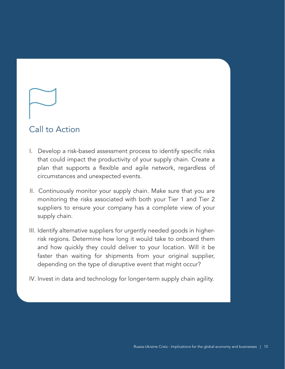# Call to Action

- I. Develop a risk-based assessment process to identify specific risks that could impact the productivity of your supply chain. Create a plan that supports a flexible and agile network, regardless of circumstances and unexpected events.
- II. Continuously monitor your supply chain. Make sure that you are monitoring the risks associated with both your Tier 1 and Tier 2 suppliers to ensure your company has a complete view of your supply chain.
- III. Identify alternative suppliers for urgently needed goods in higherrisk regions. Determine how long it would take to onboard them and how quickly they could deliver to your location. Will it be faster than waiting for shipments from your original supplier, depending on the type of disruptive event that might occur?
- IV. Invest in data and technology for longer-term supply chain agility.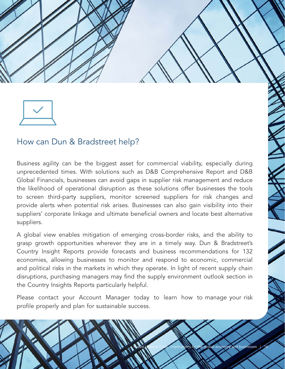



# How can Dun & Bradstreet help?

Business agility can be the biggest asset for commercial viability, especially during unprecedented times. With solutions such as D&B Comprehensive Report and D&B Global Financials, businesses can avoid gaps in supplier risk management and reduce the likelihood of operational disruption as these solutions offer businesses the tools to screen third-party suppliers, monitor screened suppliers for risk changes and provide alerts when potential risk arises. Businesses can also gain visibility into their suppliers' corporate linkage and ultimate beneficial owners and locate best alternative suppliers.

A global view enables mitigation of emerging cross-border risks, and the ability to grasp growth opportunities wherever they are in a timely way. Dun & Bradstreet's Country Insight Reports provide forecasts and business recommendations for 132 economies, allowing businesses to monitor and respond to economic, commercial and political risks in the markets in which they operate. In light of recent supply chain disruptions, purchasing managers may find the supply environment outlook section in the Country Insights Reports particularly helpful.

Please contact your Account Manager today to learn how to manage your risk profile properly and plan for sustainable success.